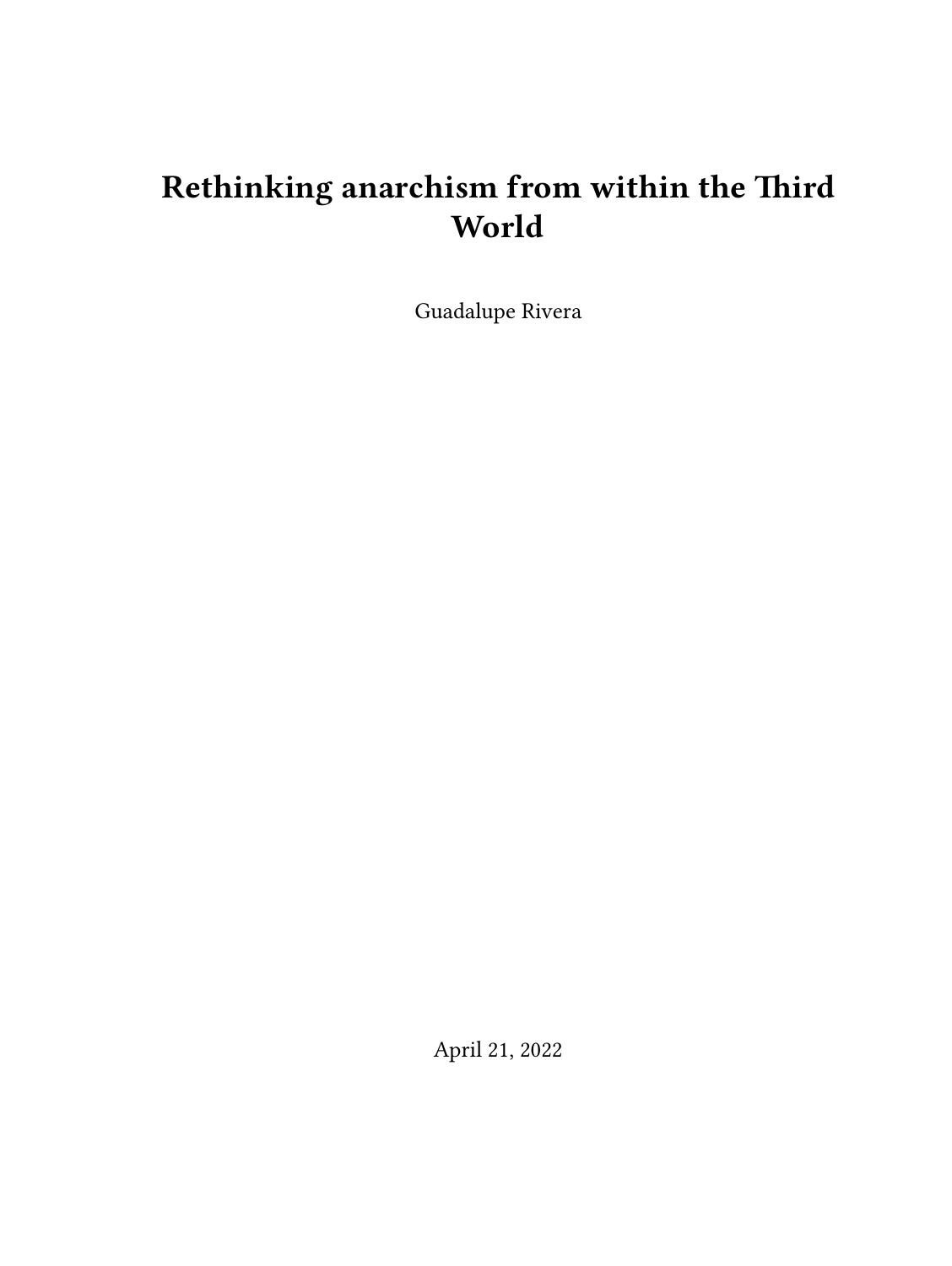# **Rethinking anarchism from within the Third World**

Guadalupe Rivera

April 21, 2022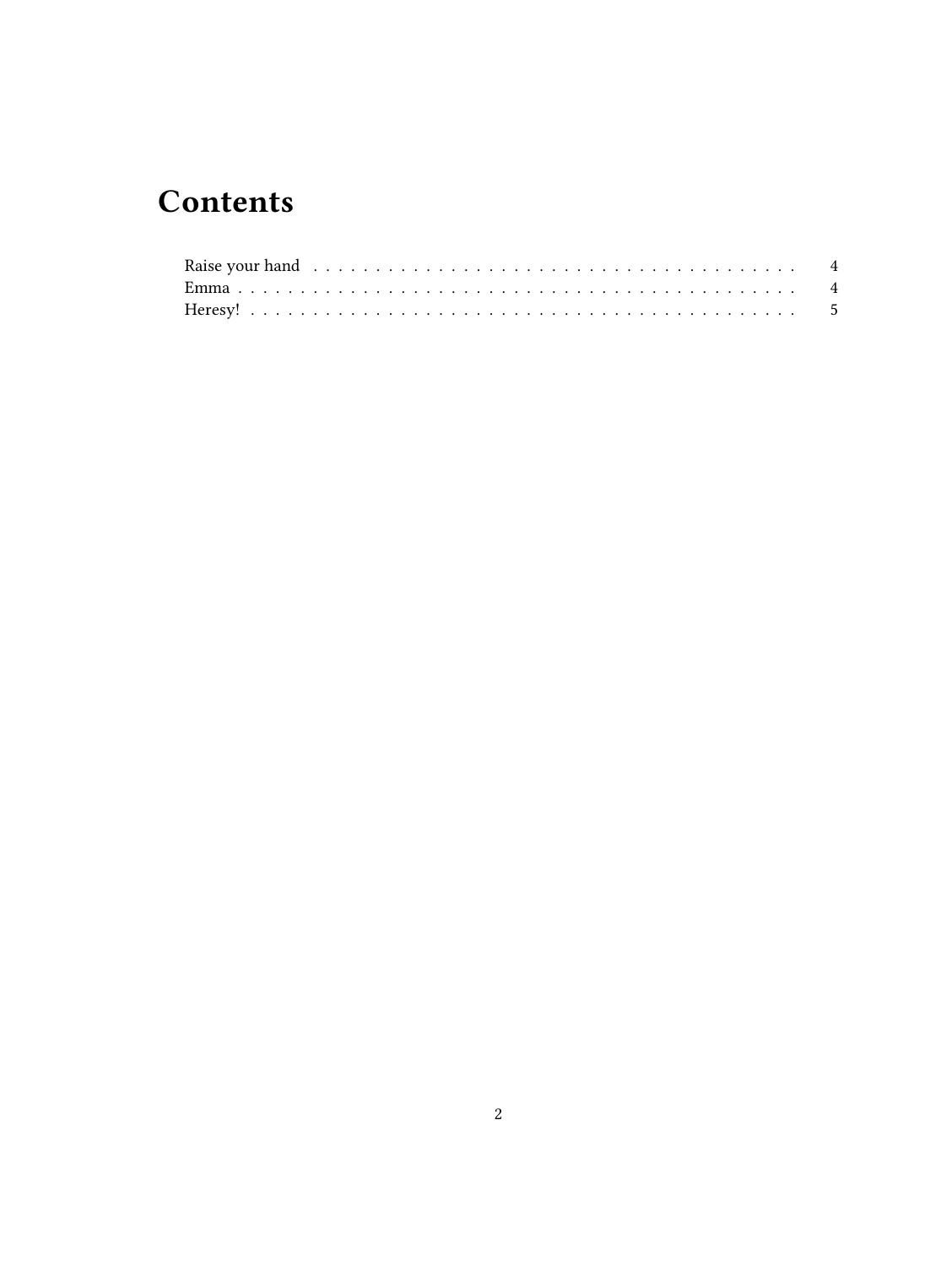## **Contents**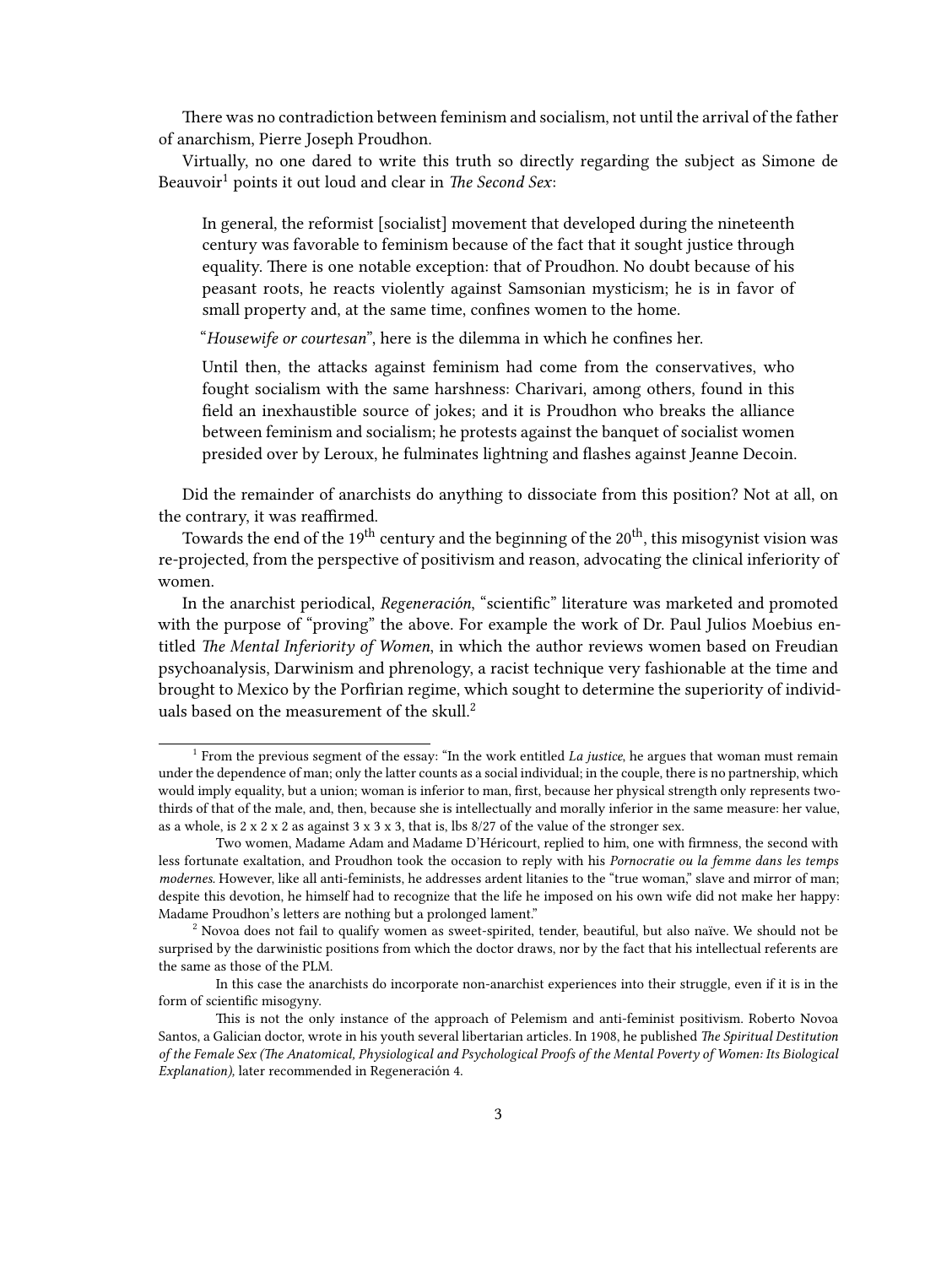There was no contradiction between feminism and socialism, not until the arrival of the father of anarchism, Pierre Joseph Proudhon.

Virtually, no one dared to write this truth so directly regarding the subject as Simone de Beauvoir<sup>1</sup> points it out loud and clear in *The Second Sex*:

In general, the reformist [socialist] movement that developed during the nineteenth century was favorable to feminism because of the fact that it sought justice through equality. There is one notable exception: that of Proudhon. No doubt because of his peasant roots, he reacts violently against Samsonian mysticism; he is in favor of small property and, at the same time, confines women to the home.

"*Housewife or courtesan*", here is the dilemma in which he confines her.

Until then, the attacks against feminism had come from the conservatives, who fought socialism with the same harshness: Charivari, among others, found in this field an inexhaustible source of jokes; and it is Proudhon who breaks the alliance between feminism and socialism; he protests against the banquet of socialist women presided over by Leroux, he fulminates lightning and flashes against Jeanne Decoin.

Did the remainder of anarchists do anything to dissociate from this position? Not at all, on the contrary, it was reaffirmed.

Towards the end of the 19<sup>th</sup> century and the beginning of the  $20<sup>th</sup>$ , this misogynist vision was re-projected, from the perspective of positivism and reason, advocating the clinical inferiority of women.

In the anarchist periodical, *Regeneración*, "scientific" literature was marketed and promoted with the purpose of "proving" the above. For example the work of Dr. Paul Julios Moebius entitled *The Mental Inferiority of Women*, in which the author reviews women based on Freudian psychoanalysis, Darwinism and phrenology, a racist technique very fashionable at the time and brought to Mexico by the Porfirian regime, which sought to determine the superiority of individuals based on the measurement of the skull.<sup>2</sup>

<sup>&</sup>lt;sup>1</sup> From the previous segment of the essay: "In the work entitled *La justice*, he argues that woman must remain under the dependence of man; only the latter counts as a social individual; in the couple, there is no partnership, which would imply equality, but a union; woman is inferior to man, first, because her physical strength only represents twothirds of that of the male, and, then, because she is intellectually and morally inferior in the same measure: her value, as a whole, is  $2 \times 2 \times 2$  as against  $3 \times 3 \times 3$ , that is, lbs 8/27 of the value of the stronger sex.

Two women, Madame Adam and Madame D'Héricourt, replied to him, one with firmness, the second with less fortunate exaltation, and Proudhon took the occasion to reply with his *Pornocratie ou la femme dans les temps modernes.* However, like all anti-feminists, he addresses ardent litanies to the "true woman," slave and mirror of man; despite this devotion, he himself had to recognize that the life he imposed on his own wife did not make her happy: Madame Proudhon's letters are nothing but a prolonged lament."

 $2$  Novoa does not fail to qualify women as sweet-spirited, tender, beautiful, but also naïve. We should not be surprised by the darwinistic positions from which the doctor draws, nor by the fact that his intellectual referents are the same as those of the PLM.

In this case the anarchists do incorporate non-anarchist experiences into their struggle, even if it is in the form of scientific misogyny.

This is not the only instance of the approach of Pelemism and anti-feminist positivism. Roberto Novoa Santos, a Galician doctor, wrote in his youth several libertarian articles. In 1908, he published *The Spiritual Destitution of the Female Sex (The Anatomical, Physiological and Psychological Proofs of the Mental Poverty of Women: Its Biological Explanation),* later recommended in Regeneración 4.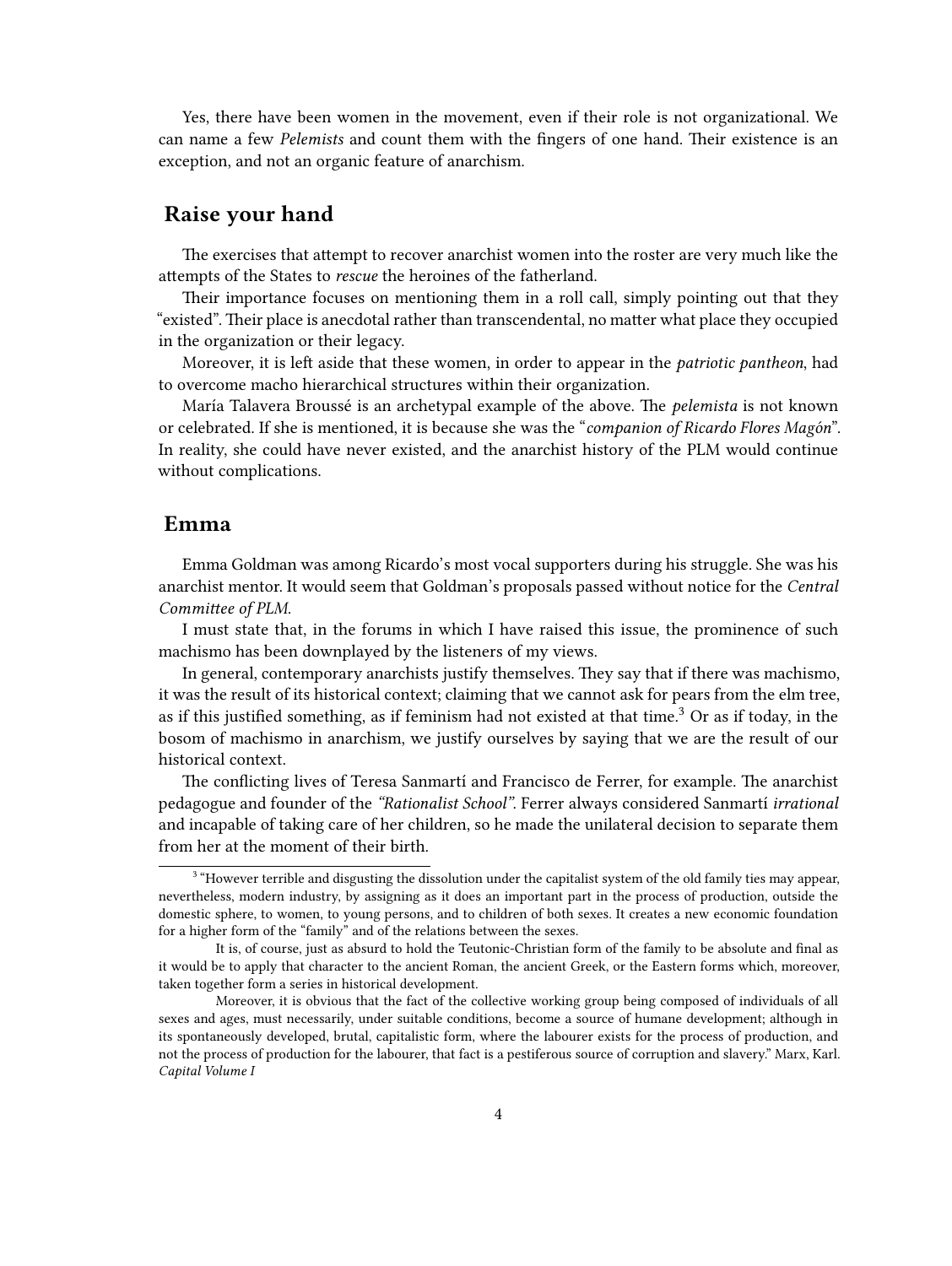Yes, there have been women in the movement, even if their role is not organizational. We can name a few *Pelemists* and count them with the fingers of one hand. Their existence is an exception, and not an organic feature of anarchism.

### <span id="page-3-0"></span>**Raise your hand**

The exercises that attempt to recover anarchist women into the roster are very much like the attempts of the States to *rescue* the heroines of the fatherland.

Their importance focuses on mentioning them in a roll call, simply pointing out that they "existed". Their place is anecdotal rather than transcendental, no matter what place they occupied in the organization or their legacy.

Moreover, it is left aside that these women, in order to appear in the *patriotic pantheon*, had to overcome macho hierarchical structures within their organization.

María Talavera Broussé is an archetypal example of the above. The *pelemista* is not known or celebrated. If she is mentioned, it is because she was the "*companion of Ricardo Flores Magón*". In reality, she could have never existed, and the anarchist history of the PLM would continue without complications.

#### <span id="page-3-1"></span>**Emma**

Emma Goldman was among Ricardo's most vocal supporters during his struggle. She was his anarchist mentor. It would seem that Goldman's proposals passed without notice for the *Central Committee of PLM*.

I must state that, in the forums in which I have raised this issue, the prominence of such machismo has been downplayed by the listeners of my views.

In general, contemporary anarchists justify themselves. They say that if there was machismo, it was the result of its historical context; claiming that we cannot ask for pears from the elm tree, as if this justified something, as if feminism had not existed at that time.<sup>3</sup> Or as if today, in the bosom of machismo in anarchism, we justify ourselves by saying that we are the result of our historical context.

The conflicting lives of Teresa Sanmartí and Francisco de Ferrer, for example. The anarchist pedagogue and founder of the *"Rationalist School"*. Ferrer always considered Sanmartí *irrational* and incapable of taking care of her children, so he made the unilateral decision to separate them from her at the moment of their birth.

<sup>&</sup>lt;sup>3</sup> "However terrible and disgusting the dissolution under the capitalist system of the old family ties may appear, nevertheless, modern industry, by assigning as it does an important part in the process of production, outside the domestic sphere, to women, to young persons, and to children of both sexes. It creates a new economic foundation for a higher form of the "family" and of the relations between the sexes.

It is, of course, just as absurd to hold the Teutonic-Christian form of the family to be absolute and final as it would be to apply that character to the ancient Roman, the ancient Greek, or the Eastern forms which, moreover, taken together form a series in historical development.

Moreover, it is obvious that the fact of the collective working group being composed of individuals of all sexes and ages, must necessarily, under suitable conditions, become a source of humane development; although in its spontaneously developed, brutal, capitalistic form, where the labourer exists for the process of production, and not the process of production for the labourer, that fact is a pestiferous source of corruption and slavery." Marx, Karl. *Capital Volume I*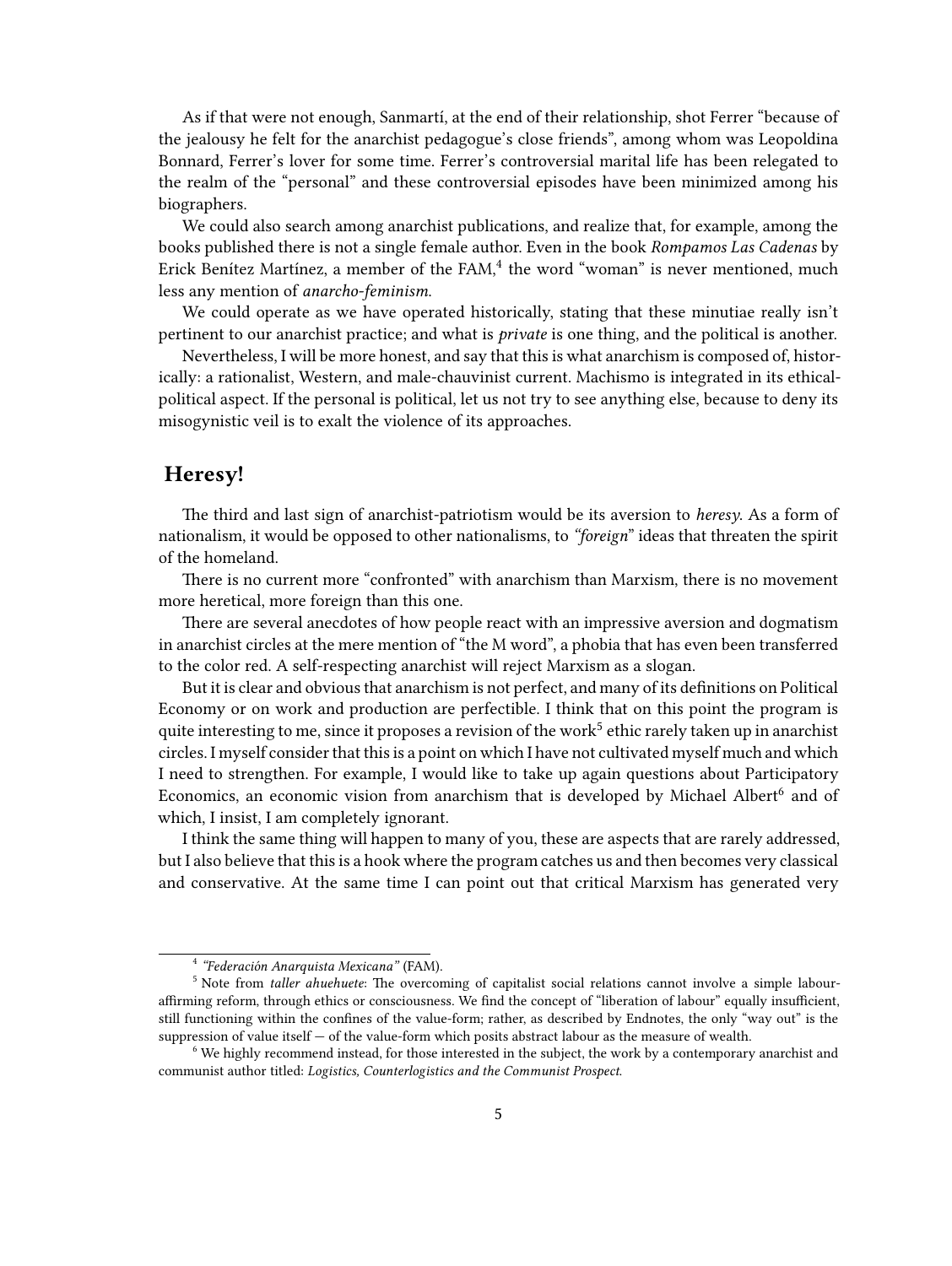As if that were not enough, Sanmartí, at the end of their relationship, shot Ferrer "because of the jealousy he felt for the anarchist pedagogue's close friends", among whom was Leopoldina Bonnard, Ferrer's lover for some time. Ferrer's controversial marital life has been relegated to the realm of the "personal" and these controversial episodes have been minimized among his biographers.

We could also search among anarchist publications, and realize that, for example, among the books published there is not a single female author. Even in the book *Rompamos Las Cadenas* by Erick Benítez Martínez, a member of the FAM,<sup>4</sup> the word "woman" is never mentioned, much less any mention of *anarcho-feminism*.

We could operate as we have operated historically, stating that these minutiae really isn't pertinent to our anarchist practice; and what is *private* is one thing, and the political is another.

Nevertheless, I will be more honest, and say that this is what anarchism is composed of, historically: a rationalist, Western, and male-chauvinist current. Machismo is integrated in its ethicalpolitical aspect. If the personal is political, let us not try to see anything else, because to deny its misogynistic veil is to exalt the violence of its approaches.

#### <span id="page-4-0"></span>**Heresy!**

The third and last sign of anarchist-patriotism would be its aversion to *heresy*. As a form of nationalism, it would be opposed to other nationalisms, to *"foreign*" ideas that threaten the spirit of the homeland.

There is no current more "confronted" with anarchism than Marxism, there is no movement more heretical, more foreign than this one.

There are several anecdotes of how people react with an impressive aversion and dogmatism in anarchist circles at the mere mention of "the M word", a phobia that has even been transferred to the color red. A self-respecting anarchist will reject Marxism as a slogan.

But it is clear and obvious that anarchism is not perfect, and many of its definitions on Political Economy or on work and production are perfectible. I think that on this point the program is quite interesting to me, since it proposes a revision of the work $^5$  ethic rarely taken up in anarchist circles. I myself consider that this is a point on which I have not cultivated myself much and which I need to strengthen. For example, I would like to take up again questions about Participatory Economics, an economic vision from anarchism that is developed by Michael Albert<sup>6</sup> and of which, I insist, I am completely ignorant.

I think the same thing will happen to many of you, these are aspects that are rarely addressed, but I also believe that this is a hook where the program catches us and then becomes very classical and conservative. At the same time I can point out that critical Marxism has generated very

<sup>4</sup> *"Federación Anarquista Mexicana"* (FAM).

<sup>5</sup> Note from *taller ahuehuete*: The overcoming of capitalist social relations cannot involve a simple labouraffirming reform, through ethics or consciousness. We find the concept of "liberation of labour" equally insufficient, still functioning within the confines of the value-form; rather, as described by Endnotes, the only "way out" is the suppression of value itself — of the value-form which posits abstract labour as the measure of wealth.

<sup>6</sup> We highly recommend instead, for those interested in the subject, the work by a contemporary anarchist and communist author titled: *Logistics, Counterlogistics and the Communist Prospect*.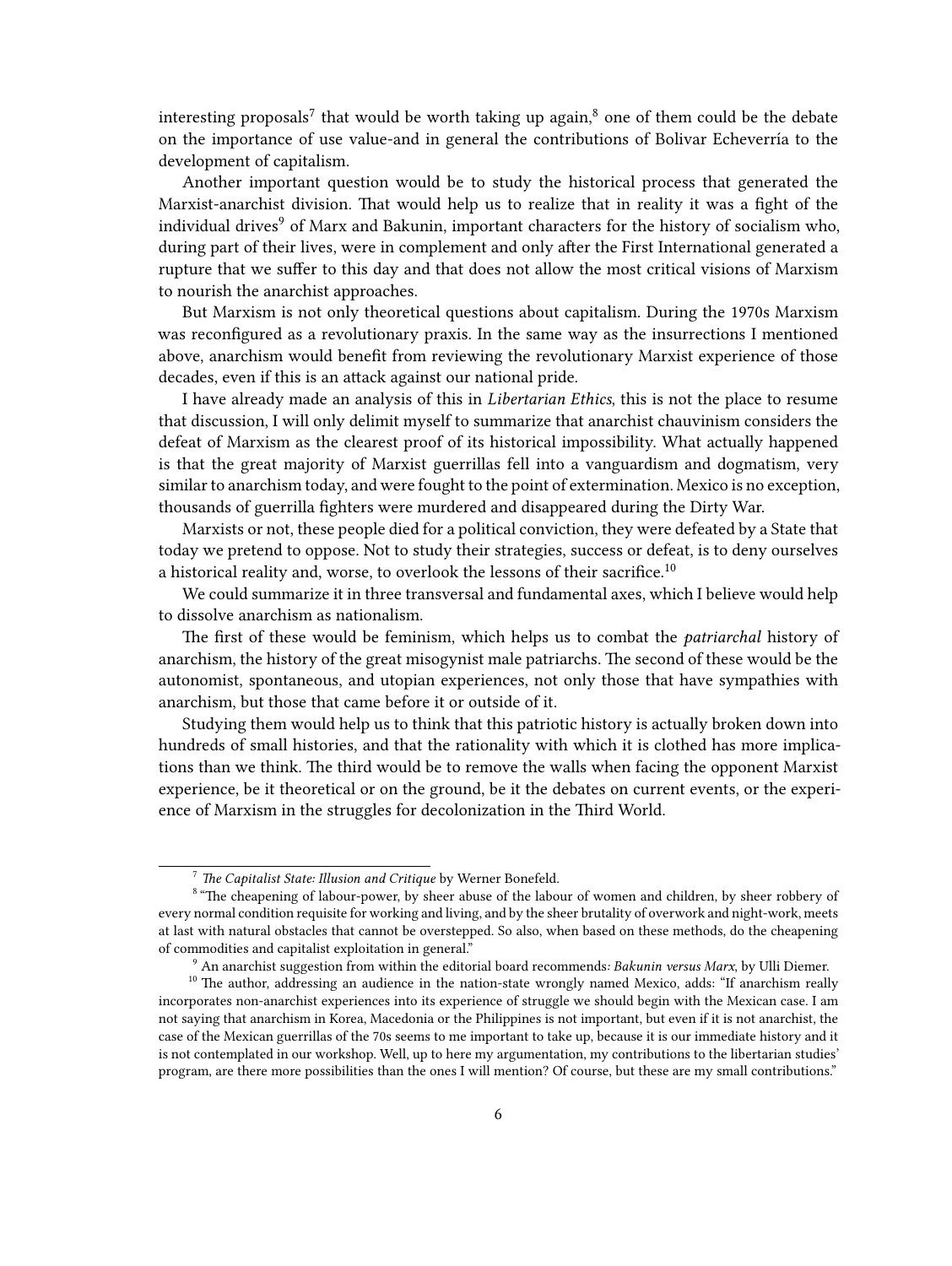interesting proposals<sup>7</sup> that would be worth taking up again,<sup>8</sup> one of them could be the debate on the importance of use value-and in general the contributions of Bolivar Echeverría to the development of capitalism.

Another important question would be to study the historical process that generated the Marxist-anarchist division. That would help us to realize that in reality it was a fight of the individual drives<sup>9</sup> of Marx and Bakunin, important characters for the history of socialism who, during part of their lives, were in complement and only after the First International generated a rupture that we suffer to this day and that does not allow the most critical visions of Marxism to nourish the anarchist approaches.

But Marxism is not only theoretical questions about capitalism. During the 1970s Marxism was reconfigured as a revolutionary praxis. In the same way as the insurrections I mentioned above, anarchism would benefit from reviewing the revolutionary Marxist experience of those decades, even if this is an attack against our national pride.

I have already made an analysis of this in *Libertarian Ethics*, this is not the place to resume that discussion, I will only delimit myself to summarize that anarchist chauvinism considers the defeat of Marxism as the clearest proof of its historical impossibility. What actually happened is that the great majority of Marxist guerrillas fell into a vanguardism and dogmatism, very similar to anarchism today, and were fought to the point of extermination. Mexico is no exception, thousands of guerrilla fighters were murdered and disappeared during the Dirty War.

Marxists or not, these people died for a political conviction, they were defeated by a State that today we pretend to oppose. Not to study their strategies, success or defeat, is to deny ourselves a historical reality and, worse, to overlook the lessons of their sacrifice.<sup>10</sup>

We could summarize it in three transversal and fundamental axes, which I believe would help to dissolve anarchism as nationalism.

The first of these would be feminism, which helps us to combat the *patriarchal* history of anarchism, the history of the great misogynist male patriarchs. The second of these would be the autonomist, spontaneous, and utopian experiences, not only those that have sympathies with anarchism, but those that came before it or outside of it.

Studying them would help us to think that this patriotic history is actually broken down into hundreds of small histories, and that the rationality with which it is clothed has more implications than we think. The third would be to remove the walls when facing the opponent Marxist experience, be it theoretical or on the ground, be it the debates on current events, or the experience of Marxism in the struggles for decolonization in the Third World.

<sup>7</sup> *The Capitalist State: Illusion and Critique* by Werner Bonefeld.

<sup>&</sup>lt;sup>8</sup> "The cheapening of labour-power, by sheer abuse of the labour of women and children, by sheer robbery of every normal condition requisite for working and living, and by the sheer brutality of overwork and night-work, meets at last with natural obstacles that cannot be overstepped. So also, when based on these methods, do the cheapening of commodities and capitalist exploitation in general."

<sup>9</sup> An anarchist suggestion from within the editorial board recommends*: Bakunin versus Marx*, by Ulli Diemer.

<sup>&</sup>lt;sup>10</sup> The author, addressing an audience in the nation-state wrongly named Mexico, adds: "If anarchism really incorporates non-anarchist experiences into its experience of struggle we should begin with the Mexican case. I am not saying that anarchism in Korea, Macedonia or the Philippines is not important, but even if it is not anarchist, the case of the Mexican guerrillas of the 70s seems to me important to take up, because it is our immediate history and it is not contemplated in our workshop. Well, up to here my argumentation, my contributions to the libertarian studies' program, are there more possibilities than the ones I will mention? Of course, but these are my small contributions."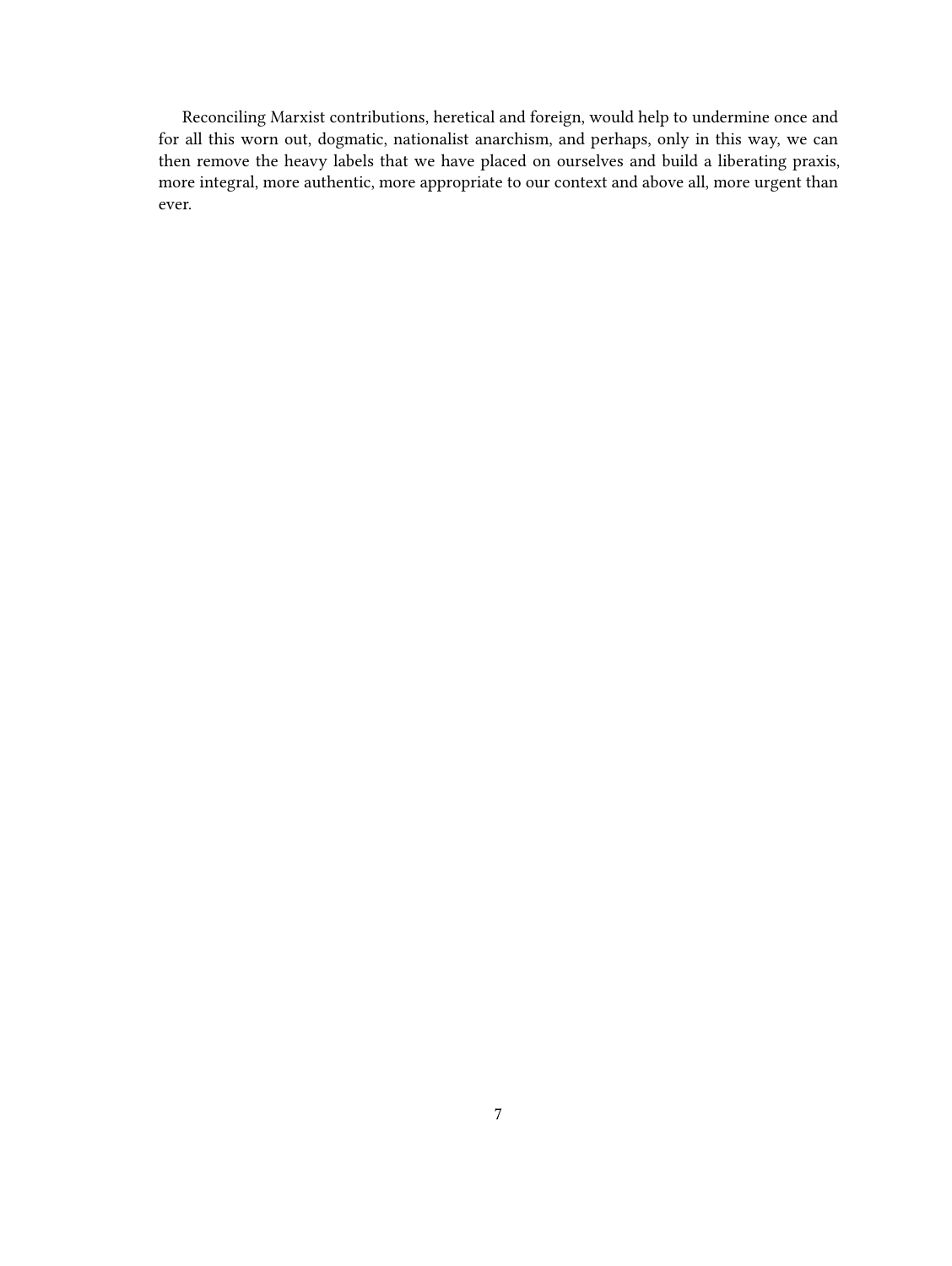Reconciling Marxist contributions, heretical and foreign, would help to undermine once and for all this worn out, dogmatic, nationalist anarchism, and perhaps, only in this way, we can then remove the heavy labels that we have placed on ourselves and build a liberating praxis, more integral, more authentic, more appropriate to our context and above all, more urgent than ever.